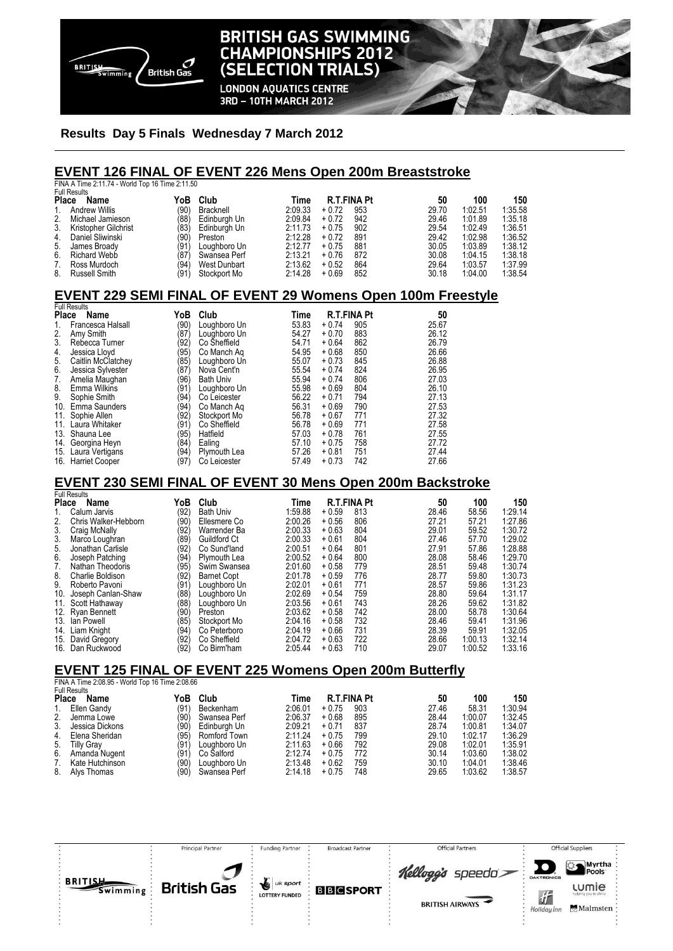

# **BRITISH GAS SWIMMING CHAMPIONSHIPS 2012** (SELECTION TRIALS) **LONDON AQUATICS CENTRE**

3RD - 10TH MARCH 2012

## **Results Day 5 Finals Wednesday 7 March 2012**

#### **EVENT 126 FINAL OF EVENT 226 Mens Open 200m Breaststroke**

FINA A Time 2:11.74 - World Top 16 Time 2:11.50 Full Results

| i uli nesults           |      |              |         |         |             |       |         |         |
|-------------------------|------|--------------|---------|---------|-------------|-------|---------|---------|
| Place<br>Name           | YoB  | Club         | Time    |         | R.T.FINA Pt | 50    | 100     | 150     |
| 1. Andrew Willis        | (90) | Bracknell    | 2:09.33 | $+0.72$ | 953         | 29.70 | 1:02.51 | 1:35.58 |
| 2. Michael Jamieson     | (88) | Edinburgh Un | 2:09.84 | $+0.72$ | 942         | 29.46 | 1.01.89 | 1:35.18 |
| 3. Kristopher Gilchrist | (83) | Edinburgh Un | 2:11.73 | $+0.75$ | 902         | 29.54 | 1.02.49 | 1:36.51 |
| 4. Daniel Sliwinski     | (90) | Preston      | 2:12.28 | $+0.72$ | 891         | 29.42 | 1.02.98 | 1:36.52 |
| 5. James Broady         | (91) | Loughboro Un | 2:12.77 | $+0.75$ | 881         | 30.05 | 1.03.89 | 1:38.12 |
| 6. Richard Webb         | (87) | Swansea Perf | 2:13.21 | $+0.76$ | 872         | 30.08 | 1:04.15 | 1:38.18 |
| 7. Ross Murdoch         | (94) | West Dunbart | 2:13.62 | $+0.52$ | 864         | 29.64 | 1:03.57 | 1:37.99 |
| 8. Russell Smith        | (91) | Stockport Mo | 2:14.28 | $+0.69$ | 852         | 30.18 | 1:04.00 | 1:38.54 |
|                         |      |              |         |         |             |       |         |         |

## **EVENT 229 SEMI FINAL OF EVENT 29 Womens Open 100m Freestyle**

| <b>Full Results</b> |                       |               |                  |       |                    |     |       |  |  |
|---------------------|-----------------------|---------------|------------------|-------|--------------------|-----|-------|--|--|
| <b>Place</b>        | Name                  | YoB           | Club             | Time  | <b>R.T.FINA Pt</b> |     | 50    |  |  |
| 1.                  | Francesca Halsall     | (90)          | Loughboro Un     | 53.83 | $+0.74$            | 905 | 25.67 |  |  |
| 2.                  | Amy Smith             | '87)          | Loughboro Un     | 54.27 | $+0.70$            | 883 | 26.12 |  |  |
| 3.                  | Rebecca Turner        | '92)          | Co Sheffield     | 54.71 | $+0.64$            | 862 | 26.79 |  |  |
| 4.                  | Jessica Lloyd         | '95)          | Co Manch Ag      | 54.95 | $+0.68$            | 850 | 26.66 |  |  |
| 5.                  | Caitlin McClatchey    | (85)          | Loughboro Un     | 55.07 | $+0.73$            | 845 | 26.88 |  |  |
| 6.                  | Jessica Sylvester     | $^{\prime}87$ | Nova Cent'n      | 55.54 | $+0.74$            | 824 | 26.95 |  |  |
| 7.                  | Amelia Maughan        | '96)          | <b>Bath Univ</b> | 55.94 | $+0.74$            | 806 | 27.03 |  |  |
| 8.                  | Emma Wilkins          | (91           | Loughboro Un     | 55.98 | $+0.69$            | 804 | 26.10 |  |  |
| 9.                  | Sophie Smith          | (94)          | Co Leicester     | 56.22 | $+0.71$            | 794 | 27.13 |  |  |
| 10.                 | Emma Saunders         | '94)          | Co Manch Ag      | 56.31 | $+0.69$            | 790 | 27.53 |  |  |
| 11.                 | Sophie Allen          | '92)          | Stockport Mo     | 56.78 | $+0.67$            | 771 | 27.32 |  |  |
| 11.                 | Laura Whitaker        | (91)          | Co Sheffield     | 56.78 | $+0.69$            | 771 | 27.58 |  |  |
| 13.                 | Shauna Lee            | '95)          | Hatfield         | 57.03 | $+0.78$            | 761 | 27.55 |  |  |
| 14.                 | Georgina Heyn         | (84)          | Ealing           | 57.10 | $+0.75$            | 758 | 27.72 |  |  |
| 15.                 | Laura Vertigans       | (94)          | Plymouth Lea     | 57.26 | $+0.81$            | 751 | 27.44 |  |  |
| 16.                 | <b>Harriet Cooper</b> | (97)          | Co Leicester     | 57.49 | $+0.73$            | 742 | 27.66 |  |  |

# **EVENT 230 SEMI FINAL OF EVENT 30 Mens Open 200m Backstroke**

|              | <b>Full Results</b>  |      |                    |         |         |                    |       |         |         |
|--------------|----------------------|------|--------------------|---------|---------|--------------------|-------|---------|---------|
| <b>Place</b> | Name                 | YoB  | Club               | Time    |         | <b>R.T.FINA Pt</b> | 50    | 100     | 150     |
|              | Calum Jarvis         | (92) | <b>Bath Univ</b>   | 1:59.88 | $+0.59$ | 813                | 28.46 | 58.56   | 1:29.14 |
| 2.           | Chris Walker-Hebborn | (90) | Ellesmere Co       | 2:00.26 | $+0.56$ | 806                | 27.21 | 57.21   | 1:27.86 |
| 3.           | Craig McNally        | (92) | Warrender Ba       | 2:00.33 | $+0.63$ | 804                | 29.01 | 59.52   | 1:30.72 |
| 3.           | Marco Loughran       | (89) | Guildford Ct       | 2:00.33 | $+0.61$ | 804                | 27.46 | 57.70   | 1:29.02 |
| 5.           | Jonathan Carlisle    | (92) | Co Sund'land       | 2:00.51 | $+0.64$ | 801                | 27.91 | 57.86   | 1:28.88 |
| 6.           | Joseph Patching      | (94) | Plymouth Lea       | 2:00.52 | $+0.64$ | 800                | 28.08 | 58.46   | 1:29.70 |
| 7.           | Nathan Theodoris     | (95) | Swim Swansea       | 2:01.60 | $+0.58$ | 779                | 28.51 | 59.48   | 1:30.74 |
| 8.           | Charlie Boldison     | (92) | <b>Barnet Copt</b> | 2:01.78 | $+0.59$ | 776                | 28.77 | 59.80   | 1:30.73 |
| 9.           | Roberto Pavoni       | (91  | Loughboro Un       | 2:02.01 | $+0.61$ | 771                | 28.57 | 59.86   | 1:31.23 |
| 10.          | Joseph Canlan-Shaw   | (88  | Loughboro Un       | 2:02.69 | $+0.54$ | 759                | 28.80 | 59.64   | 1:31.17 |
| 11.          | Scott Hathaway       | (88  | Loughboro Un       | 2:03.56 | $+0.61$ | 743                | 28.26 | 59.62   | 1:31.82 |
|              | 12. Ryan Bennett     | (90) | Preston            | 2:03.62 | $+0.58$ | 742                | 28.00 | 58.78   | 1:30.64 |
| 13.          | lan Powell           | (85) | Stockport Mo       | 2:04.16 | $+0.58$ | 732                | 28.46 | 59.41   | 1:31.96 |
| 14.          | Liam Knight          | (94) | Co Peterboro       | 2:04.19 | $+0.66$ | 731                | 28.39 | 59.91   | 1:32.05 |
| 15.          | David Gregory        | (92) | Co Sheffield       | 2:04.72 | $+0.63$ | 722                | 28.66 | 1:00.13 | 1:32.14 |
| 16.          | Dan Ruckwood         | (92) | Co Birm'ham        | 2:05.44 | $+0.63$ | 710                | 29.07 | 1:00.52 | 1:33.16 |

## **EVENT 125 FINAL OF EVENT 225 Womens Open 200m Butterfly**

FINA A Time 2:08.95 - World Top 16 Time 2:08.66

| <b>Full Results</b>     |      |              |         |         |     |                    |         |         |
|-------------------------|------|--------------|---------|---------|-----|--------------------|---------|---------|
| <b>Place</b><br>Name    |      |              |         |         |     | 50                 |         | 150     |
| Ellen Gandy             | (91) | Beckenham    | 2:06.01 | $+0.75$ | 903 | 27.46              | 58.31   | 1:30.94 |
| Jemma Lowe              | (90) | Swansea Perf | 2:06.37 | $+0.68$ | 895 | 28.44              | 1:00.07 | 1:32.45 |
| Jessica Dickons         | (90) | Edinburgh Un | 2:09.21 | $+0.71$ | 837 | 28.74              | 1:00.81 | 1:34.07 |
| Elena Sheridan          | (95) | Romford Town | 2:11.24 | $+0.75$ | 799 | 29.10              | 1:02.17 | 1:36.29 |
| <b>Tilly Grav</b><br>5. | (91) | Louahboro Un | 2:11.63 | $+0.66$ | 792 | 29.08              | 1:02.01 | 1:35.91 |
| Amanda Nugent           | (91) | Co Salford   | 2:12.74 | $+0.75$ | 772 | 30.14              | 1:03.60 | 1:38.02 |
| Kate Hutchinson         | (90) | Loughboro Un | 2:13.48 | $+0.62$ | 759 | 30.10              | 1:04.01 | 1:38.46 |
| Alys Thomas             | (90) | Swansea Perf | 2:14.18 | $+0.75$ | 748 | 29.65              | 1:03.62 | 1:38.57 |
|                         |      | YoB          | Club    | Time    |     | <b>R.T.FINA Pt</b> |         | 100     |

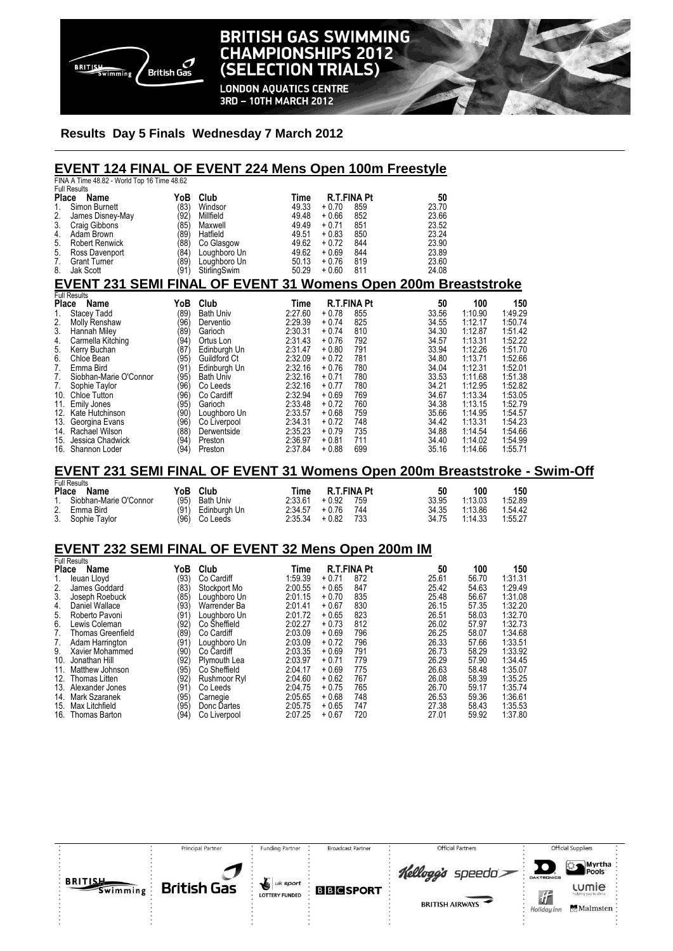

# **BRITISH GAS SWIMMING CHAMPIONSHIPS 2012** (SELECTION TRIALS)

**LONDON AQUATICS CENTRE** 3RD - 10TH MARCH 2012

## **Results Day 5 Finals Wednesday 7 March 2012**

| <b>EVENT 124 FINAL OF EVENT 224 Mens Open 100m Freestyle</b>              |      |                  |         |                                  |       |         |         |  |
|---------------------------------------------------------------------------|------|------------------|---------|----------------------------------|-------|---------|---------|--|
| FINA A Time 48.82 - World Top 16 Time 48.62<br><b>Full Results</b>        |      |                  |         |                                  |       |         |         |  |
| Place<br>Name                                                             | YoB  | Club             | Time    | <b>R.T.FINA Pt</b>               | 50    |         |         |  |
| 1.<br>Simon Burnett                                                       | (83) | Windsor          | 49.33   | $+0.70$<br>859                   | 23.70 |         |         |  |
| 2.<br>James Disney-May                                                    | (92) | Millfield        | 49.48   | $+0.66$<br>852                   | 23.66 |         |         |  |
| 3.<br>Craig Gibbons                                                       | (85) | Maxwell          | 49.49   | 851<br>$+0.71$                   | 23.52 |         |         |  |
| 4.<br>Adam Brown                                                          | (89) | Hatfield         | 49.51   | 850<br>$+0.83$                   | 23.24 |         |         |  |
| 5.<br><b>Robert Renwick</b>                                               | (88) | Co Glasgow       | 49.62   | 844<br>$+0.72$                   | 23.90 |         |         |  |
| 5.<br>Ross Davenport                                                      | (84) | Loughboro Un     | 49.62   | $+0.69$<br>844                   | 23.89 |         |         |  |
| 7.<br><b>Grant Turner</b>                                                 | (89) | Loughboro Un     | 50.13   | 819<br>$+0.76$<br>$+0.60$<br>811 | 23.60 |         |         |  |
| 8.<br><b>Jak Scott</b>                                                    | (91) | StirlingSwim     | 50.29   |                                  | 24.08 |         |         |  |
| <b>EVENT 231 SEMI FINAL OF EVENT 31 Womens Open 200m Breaststroke</b>     |      |                  |         |                                  |       |         |         |  |
| <b>Full Results</b>                                                       |      |                  |         |                                  |       |         |         |  |
| Place Name                                                                | YoB  | Club             | Time    | <b>R.T.FINA Pt</b>               | 50    | 100     | 150     |  |
| 1.<br><b>Stacey Tadd</b>                                                  | (89) | <b>Bath Univ</b> | 2:27.60 | $+0.78$<br>855                   | 33.56 | 1:10.90 | 1:49.29 |  |
| 2.<br>Molly Renshaw                                                       | (96) | Derventio        | 2:29.39 | $+0.74$<br>825                   | 34.55 | 1:12.17 | 1:50.74 |  |
| 3.<br>Hannah Miley                                                        | (89́ | Garioch          | 2:30.31 | 810<br>$+0.74$                   | 34.30 | 1:12.87 | 1:51.42 |  |
| 4.<br>Carmella Kitching                                                   | (94) | Ortus Lon        | 2:31.43 | 792<br>$+0.76$                   | 34.57 | 1:13.31 | 1:52.22 |  |
| 5.<br>Kerry Buchan                                                        | (87) | Edinburgh Un     | 2:31.47 | $+0.80$<br>791                   | 33.94 | 1:12.26 | 1:51.70 |  |
| 6.<br>Chloe Bean                                                          | (95) | Guildford Ct     | 2:32.09 | 781<br>$+0.72$                   | 34.80 | 1:13.71 | 1:52.66 |  |
| 7.<br>Emma Bird                                                           | (91) | Edinburgh Un     | 2:32.16 | $+0.76$<br>780                   | 34.04 | 1:12.31 | 1:52.01 |  |
| 7.<br>Siobhan-Marie O'Connor                                              | (95) | <b>Bath Univ</b> | 2:32.16 | $+0.71$<br>780                   | 33.53 | 1:11.68 | 1:51.38 |  |
| 7.<br>Sophie Taylor                                                       | (96) | Co Leeds         | 2:32.16 | $+0.77$<br>780                   | 34.21 | 1:12.95 | 1:52.82 |  |
| 10.<br><b>Chloe Tutton</b>                                                | (96′ | Co Cardiff       | 2:32.94 | 769<br>$+0.69$                   | 34.67 | 1:13.34 | 1:53.05 |  |
| 11.<br>Emily Jones                                                        | (95) | Garioch          | 2:33.48 | 760<br>$+0.72$                   | 34.38 | 1:13.15 | 1:52.79 |  |
| 12.<br>Kate Hutchinson                                                    | (90) | Loughboro Un     | 2:33.57 | 759<br>$+0.68$                   | 35.66 | 1:14.95 | 1:54.57 |  |
| 13.<br>Georgina Evans                                                     | (96) | Co Liverpool     | 2:34.31 | 748<br>$+0.72$                   | 34.42 | 1:13.31 | 1:54.23 |  |
| 14. Rachael Wilson                                                        | (88) | Derwentside      | 2:35.23 | $+0.79$<br>735                   | 34.88 | 1:14.54 | 1:54.66 |  |
| Jessica Chadwick<br>15.                                                   | (94) | Preston          | 2:36.97 | $+0.81$<br>711                   | 34.40 | 1:14.02 | 1:54.99 |  |
| 16. Shannon Loder                                                         | (94) | Preston          | 2:37.84 | 699<br>$+0.88$                   | 35.16 | 1:14.66 | 1:55.71 |  |
|                                                                           |      |                  |         |                                  |       |         |         |  |
| EVENT 231 SEMI FINAL OF EVENT 31 Womens Open 200m Breaststroke - Swim-Off |      |                  |         |                                  |       |         |         |  |

|       | Full Results              |      |                  |         |             |     |       |         |         |  |  |
|-------|---------------------------|------|------------------|---------|-------------|-----|-------|---------|---------|--|--|
| Place | Name                      | YoB  | Club             | Time    | R.T.FINA Pt |     | 50    | 100     | 150     |  |  |
|       | 1. Siobhan-Marie O'Connor | (95) | <b>Bath Univ</b> | 2:33.61 | $+0.92$     | 759 | 33.95 | 1:13.03 | 1:52.89 |  |  |
|       | 2. Emma Bird              | (91) | Edinburah Un     | 2:34.57 | + 0.76      | 744 | 34.35 | 1:13.86 | 1.54.42 |  |  |
|       | 3. Sophie Taylor          | (96) | Co Leeds         | 2:35.34 | $+0.82$     | 733 | 34.75 | 1:14.33 | 1:55.27 |  |  |

# **EVENT 232 SEMI FINAL OF EVENT 32 Mens Open 200m IM**

| <b>Full Results</b>            |      |              |         |         |                    |       |       |         |
|--------------------------------|------|--------------|---------|---------|--------------------|-------|-------|---------|
| <b>Place</b><br>Name           | YoB  | Club         | Time    |         | <b>R.T.FINA Pt</b> | 50    | 100   | 150     |
| leuan Lloyd                    | (93) | Co Cardiff   | 1:59.39 | $+0.71$ | 872                | 25.61 | 56.70 | 1:31.31 |
| 2.<br>James Goddard            | (83) | Stockport Mo | 2:00.55 | $+0.65$ | 847                | 25.42 | 54.63 | 1:29.49 |
| 3.<br>Joseph Roebuck           | (85) | Loughboro Un | 2:01.15 | $+0.70$ | 835                | 25.48 | 56.67 | 1:31.08 |
| Daniel Wallace<br>4.           | (93) | Warrender Ba | 2:01.41 | $+0.67$ | 830                | 26.15 | 57.35 | 1:32.20 |
| Roberto Pavoni<br>5.           | (91  | Loughboro Un | 2:01.72 | $+0.65$ | 823                | 26.51 | 58.03 | 1:32.70 |
| 6.<br>Lewis Coleman            | (92  | Co Sheffield | 2:02.27 | $+0.73$ | 812                | 26.02 | 57.97 | 1:32.73 |
| <b>Thomas Greenfield</b><br>7. | (89  | Co Cardiff   | 2:03.09 | $+0.69$ | 796                | 26.25 | 58.07 | 1:34.68 |
| Adam Harrington<br>7.          | (91  | Loughboro Un | 2:03.09 | $+0.72$ | 796                | 26.33 | 57.66 | 1:33.51 |
| Xavier Mohammed<br>9.          | (90) | Co Cardiff   | 2:03.35 | $+0.69$ | 791                | 26.73 | 58.29 | 1:33.92 |
| 10.<br>Jonathan Hill           | (92) | Plymouth Lea | 2:03.97 | $+0.71$ | 779                | 26.29 | 57.90 | 1:34.45 |
| Matthew Johnson<br>11.         | (95) | Co Sheffield | 2:04.17 | $+0.69$ | 775                | 26.63 | 58.48 | 1:35.07 |
| 12.<br>Thomas Litten           | (92) | Rushmoor Ryl | 2:04.60 | $+0.62$ | 767                | 26.08 | 58.39 | 1:35.25 |
| 13.<br>Alexander Jones         | (91  | Co Leeds     | 2:04.75 | $+0.75$ | 765                | 26.70 | 59.17 | 1:35.74 |
| Mark Szaranek<br>14.           | (95) | Carnegie     | 2:05.65 | $+0.68$ | 748                | 26.53 | 59.36 | 1:36.61 |
| Max Litchfield<br>15.          | (95) | Donc Dartes  | 2:05.75 | $+0.65$ | 747                | 27.38 | 58.43 | 1:35.53 |
| 16.<br>Thomas Barton           | (94  | Co Liverpool | 2:07.25 | $+0.67$ | 720                | 27.01 | 59.92 | 1:37.80 |

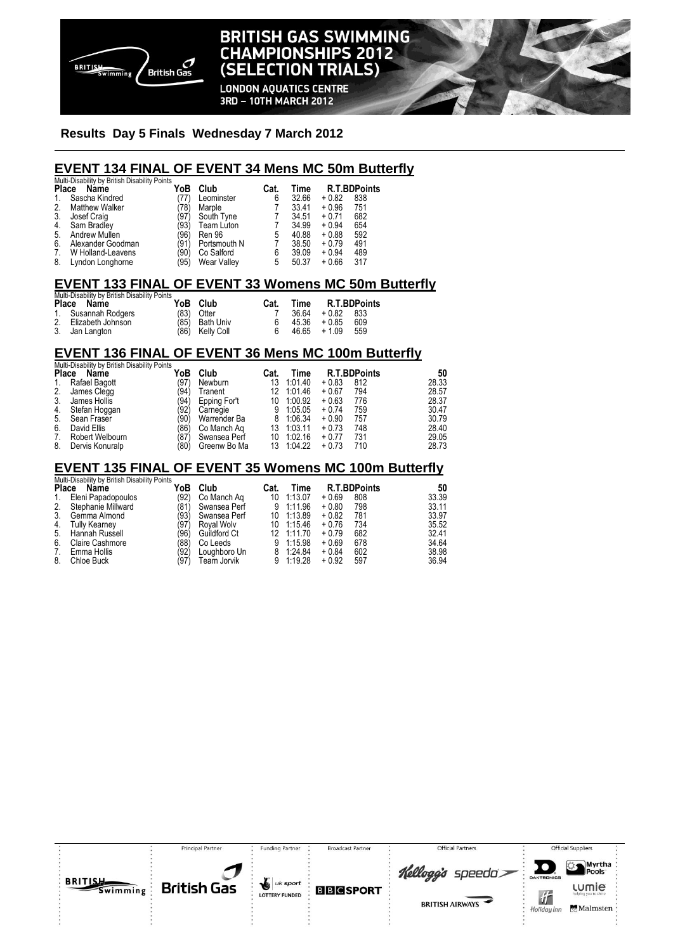

# **BRITISH GAS SWIMMING CHAMPIONSHIPS 2012** (SELECTION TRIALS)

**LONDON AQUATICS CENTRE** 3RD - 10TH MARCH 2012

#### **Results Day 5 Finals Wednesday 7 March 2012**

# **EVENT 134 FINAL OF EVENT 34 Mens MC 50m Butterfly**

|       | Multi-Disability by British Disability Points |      |                    |      |       |         |                     |  |  |  |  |
|-------|-----------------------------------------------|------|--------------------|------|-------|---------|---------------------|--|--|--|--|
| Place | Name                                          | YoB  | Club               | Cat. | Time  |         | <b>R.T.BDPoints</b> |  |  |  |  |
| 1.    | Sascha Kindred                                | (77) | Leominster         | 6    | 32.66 | $+0.82$ | 838                 |  |  |  |  |
| 2.    | <b>Matthew Walker</b>                         | 78)  | Marple             |      | 33.41 | $+0.96$ | 751                 |  |  |  |  |
| 3.    | Josef Craig                                   | (97) | South Tyne         |      | 34.51 | $+0.71$ | 682                 |  |  |  |  |
| 4.    | Sam Bradley                                   | (93) | Team Luton         |      | 34.99 | $+0.94$ | 654                 |  |  |  |  |
| 5.    | Andrew Mullen                                 | (96) | Ren 96             | 5    | 40.88 | $+0.88$ | 592                 |  |  |  |  |
| 6.    | Alexander Goodman                             | (91) | Portsmouth N       |      | 38.50 | $+0.79$ | 491                 |  |  |  |  |
| 7.    | W Holland-Leavens                             | '90) | Co Salford         | 6    | 39.09 | $+0.94$ | 489                 |  |  |  |  |
| 8.    | Lyndon Longhorne                              | '95) | <b>Wear Valley</b> | 5    | 50.37 | $+0.66$ | 317                 |  |  |  |  |

# **EVENT 133 FINAL OF EVENT 33 Womens MC 50m Butterfly**

| Multi-Disability by British Disability Points |                      |  |                                   |      |      |                |                     |  |  |  |  |
|-----------------------------------------------|----------------------|--|-----------------------------------|------|------|----------------|---------------------|--|--|--|--|
|                                               | Place Name           |  | YoB Club                          | Cat. | Time |                | <b>R.T.BDPoints</b> |  |  |  |  |
|                                               | 1. Susannah Rodgers  |  | $(83)$ Otter                      |      |      | 36.64 + 0.82   | 833                 |  |  |  |  |
|                                               | 2. Elizabeth Johnson |  |                                   | 6.   |      | $45.36 + 0.85$ | 609                 |  |  |  |  |
|                                               | 3. Jan Langton       |  | (85) Bath Univ<br>(86) Kelly Coll | 6.   |      | $46.65 + 1.09$ | 559                 |  |  |  |  |

## **EVENT 136 FINAL OF EVENT 36 Mens MC 100m Butterfly**

| Multi-Disability by British Disability Points |                 |      |              |      |         |         |                     |       |
|-----------------------------------------------|-----------------|------|--------------|------|---------|---------|---------------------|-------|
| <b>Place</b>                                  | Name            | YoB  | Club         | Cat. | Time    |         | <b>R.T.BDPoints</b> | 50    |
| 1.                                            | Rafael Bagott   | (97) | Newburn      | 13   | 1:01.40 | $+0.83$ | 812                 | 28.33 |
| 2.                                            | James Clegg     | '94) | Tranent      | 12.  | 1:01.46 | $+0.67$ | 794                 | 28.57 |
| 3.                                            | James Hollis    | (94) | Epping For't | 10   | 1:00.92 | $+0.63$ | 776                 | 28.37 |
| 4.                                            | Stefan Hoggan   | (92) | Carnegie     | 9    | 1:05.05 | $+0.74$ | 759                 | 30.47 |
| 5.                                            | Sean Fraser     | '90) | Warrender Ba | 8    | 1:06.34 | $+0.90$ | 757                 | 30.79 |
| 6.                                            | David Ellis     | '86) | Co Manch Ag  | 13   | 1:03.11 | $+0.73$ | 748                 | 28.40 |
| 7.                                            | Robert Welbourn | (87) | Swansea Perf | 10   | 1:02.16 | $+0.77$ | 731                 | 29.05 |
| 8.                                            | Dervis Konuralp | (80  | Greenw Bo Ma | 13   | 1:04.22 | $+0.73$ | 710                 | 28.73 |

# **EVENT 135 FINAL OF EVENT 35 Womens MC 100m Butterfly**  Multi-Disability by British Disability Points

|             | <b>INCHE DISCOTTLY DY DITEST DISCOTTLY I UTILS</b> |      |              |      |            |         |                     |       |
|-------------|----------------------------------------------------|------|--------------|------|------------|---------|---------------------|-------|
|             | Place Name                                         | YoB  | Club         | Cat. | Time       |         | <b>R.T.BDPoints</b> | 50    |
| $1_{\cdot}$ | Eleni Papadopoulos                                 | (92) | Co Manch Ag  |      | 10 1:13.07 | $+0.69$ | 808                 | 33.39 |
|             | 2. Stephanie Millward                              | (81) | Swansea Perf |      | 9 1:11.96  | $+0.80$ | 798                 | 33.11 |
| 3.          | Gemma Almond                                       | (93) | Swansea Perf |      | 10 1:13.89 | $+0.82$ | 781                 | 33.97 |
| 4.          | <b>Tully Kearney</b>                               | (97) | Roval Wolv   |      | 10 1:15.46 | $+0.76$ | 734                 | 35.52 |
|             | 5. Hannah Russell                                  | (96) | Guildford Ct |      | 12 1:11.70 | $+0.79$ | 682                 | 32.41 |
| 6.          | Claire Cashmore                                    | (88) | Co Leeds     |      | 9 1:15.98  | $+0.69$ | 678                 | 34.64 |
| 7.          | Emma Hollis                                        | (92) | Loughboro Un |      | 8 1:24.84  | $+0.84$ | 602                 | 38.98 |
| 8.          | Chloe Buck                                         | (97) | Team Jorvik  |      | 9 1:19.28  | $+0.92$ | 597                 | 36.94 |
|             |                                                    |      |              |      |            |         |                     |       |